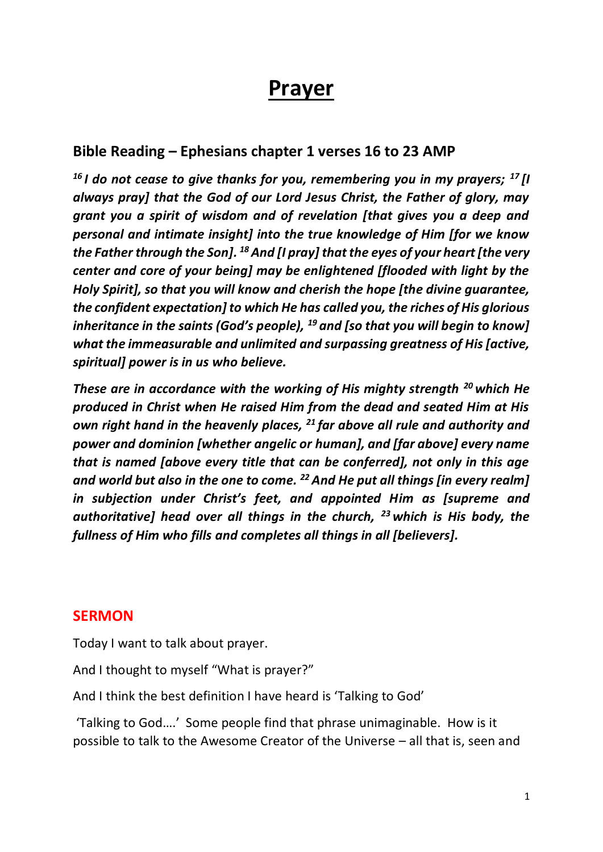# **Prayer**

## **Bible Reading – Ephesians chapter 1 verses 16 to 23 AMP**

*<sup>16</sup> I do not cease to give thanks for you, remembering you in my prayers; <sup>17</sup> [I always pray] that the God of our Lord Jesus Christ, the Father of glory, may grant you a spirit of wisdom and of revelation [that gives you a deep and personal and intimate insight] into the true knowledge of Him [for we know the Father through the Son]. <sup>18</sup>And [I pray] that the eyes of your heart [the very center and core of your being] may be enlightened [flooded with light by the Holy Spirit], so that you will know and cherish the hope [the divine guarantee, the confident expectation] to which He has called you, the riches of His glorious inheritance in the saints (God's people), <sup>19</sup> and [so that you will begin to know] what the immeasurable and unlimited and surpassing greatness of His [active, spiritual] power is in us who believe.* 

*These are in accordance with the working of His mighty strength <sup>20</sup> which He produced in Christ when He raised Him from the dead and seated Him at His own right hand in the heavenly places, <sup>21</sup> far above all rule and authority and power and dominion [whether angelic or human], and [far above] every name that is named [above every title that can be conferred], not only in this age and world but also in the one to come. <sup>22</sup>And He put all things [in every realm] in subjection under Christ's feet, and appointed Him as [supreme and authoritative] head over all things in the church, <sup>23</sup> which is His body, the fullness of Him who fills and completes all things in all [believers].*

### **SERMON**

Today I want to talk about prayer.

And I thought to myself "What is prayer?"

And I think the best definition I have heard is 'Talking to God'

'Talking to God….' Some people find that phrase unimaginable. How is it possible to talk to the Awesome Creator of the Universe – all that is, seen and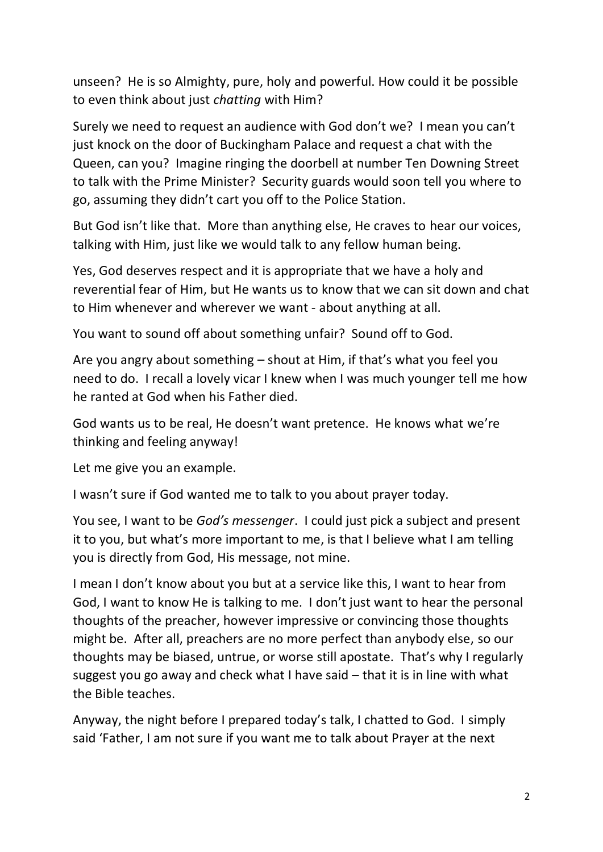unseen? He is so Almighty, pure, holy and powerful. How could it be possible to even think about just *chatting* with Him?

Surely we need to request an audience with God don't we? I mean you can't just knock on the door of Buckingham Palace and request a chat with the Queen, can you? Imagine ringing the doorbell at number Ten Downing Street to talk with the Prime Minister? Security guards would soon tell you where to go, assuming they didn't cart you off to the Police Station.

But God isn't like that. More than anything else, He craves to hear our voices, talking with Him, just like we would talk to any fellow human being.

Yes, God deserves respect and it is appropriate that we have a holy and reverential fear of Him, but He wants us to know that we can sit down and chat to Him whenever and wherever we want - about anything at all.

You want to sound off about something unfair? Sound off to God.

Are you angry about something – shout at Him, if that's what you feel you need to do. I recall a lovely vicar I knew when I was much younger tell me how he ranted at God when his Father died.

God wants us to be real, He doesn't want pretence. He knows what we're thinking and feeling anyway!

Let me give you an example.

I wasn't sure if God wanted me to talk to you about prayer today.

You see, I want to be *God's messenger*. I could just pick a subject and present it to you, but what's more important to me, is that I believe what I am telling you is directly from God, His message, not mine.

I mean I don't know about you but at a service like this, I want to hear from God, I want to know He is talking to me. I don't just want to hear the personal thoughts of the preacher, however impressive or convincing those thoughts might be. After all, preachers are no more perfect than anybody else, so our thoughts may be biased, untrue, or worse still apostate. That's why I regularly suggest you go away and check what I have said – that it is in line with what the Bible teaches.

Anyway, the night before I prepared today's talk, I chatted to God. I simply said 'Father, I am not sure if you want me to talk about Prayer at the next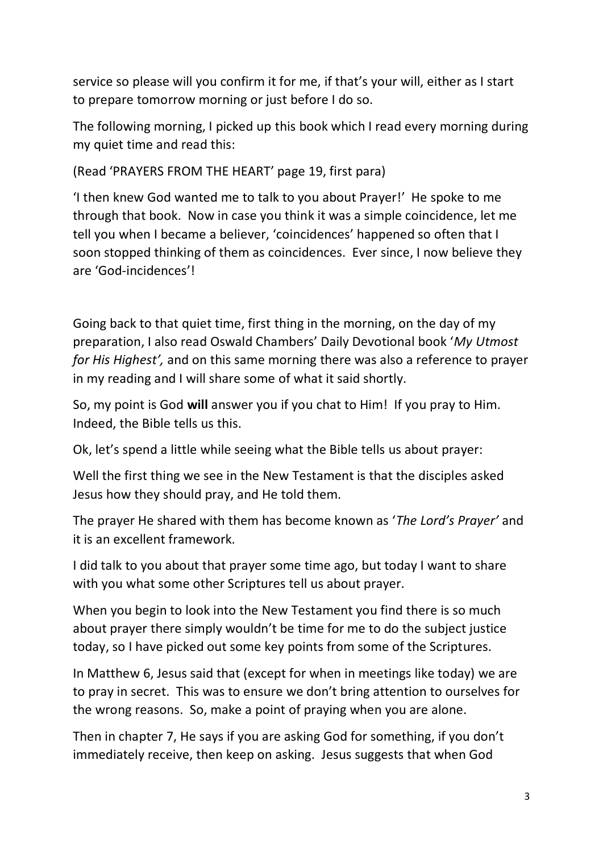service so please will you confirm it for me, if that's your will, either as I start to prepare tomorrow morning or just before I do so.

The following morning, I picked up this book which I read every morning during my quiet time and read this:

(Read 'PRAYERS FROM THE HEART' page 19, first para)

'I then knew God wanted me to talk to you about Prayer!' He spoke to me through that book. Now in case you think it was a simple coincidence, let me tell you when I became a believer, 'coincidences' happened so often that I soon stopped thinking of them as coincidences. Ever since, I now believe they are 'God-incidences'!

Going back to that quiet time, first thing in the morning, on the day of my preparation, I also read Oswald Chambers' Daily Devotional book '*My Utmost for His Highest',* and on this same morning there was also a reference to prayer in my reading and I will share some of what it said shortly.

So, my point is God **will** answer you if you chat to Him! If you pray to Him. Indeed, the Bible tells us this.

Ok, let's spend a little while seeing what the Bible tells us about prayer:

Well the first thing we see in the New Testament is that the disciples asked Jesus how they should pray, and He told them.

The prayer He shared with them has become known as '*The Lord's Prayer'* and it is an excellent framework.

I did talk to you about that prayer some time ago, but today I want to share with you what some other Scriptures tell us about prayer.

When you begin to look into the New Testament you find there is so much about prayer there simply wouldn't be time for me to do the subject justice today, so I have picked out some key points from some of the Scriptures.

In Matthew 6, Jesus said that (except for when in meetings like today) we are to pray in secret. This was to ensure we don't bring attention to ourselves for the wrong reasons. So, make a point of praying when you are alone.

Then in chapter 7, He says if you are asking God for something, if you don't immediately receive, then keep on asking. Jesus suggests that when God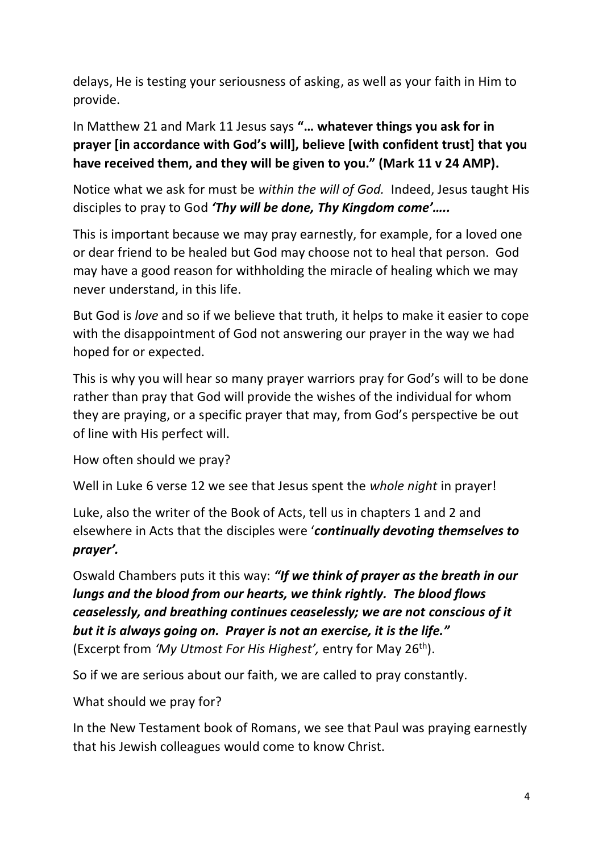delays, He is testing your seriousness of asking, as well as your faith in Him to provide.

In Matthew 21 and Mark 11 Jesus says **"… whatever things you ask for in prayer [in accordance with God's will], believe [with confident trust] that you have received them, and they will be given to you." (Mark 11 v 24 AMP).**

Notice what we ask for must be *within the will of God.* Indeed, Jesus taught His disciples to pray to God *'Thy will be done, Thy Kingdom come'…..*

This is important because we may pray earnestly, for example, for a loved one or dear friend to be healed but God may choose not to heal that person. God may have a good reason for withholding the miracle of healing which we may never understand, in this life.

But God is *love* and so if we believe that truth, it helps to make it easier to cope with the disappointment of God not answering our prayer in the way we had hoped for or expected.

This is why you will hear so many prayer warriors pray for God's will to be done rather than pray that God will provide the wishes of the individual for whom they are praying, or a specific prayer that may, from God's perspective be out of line with His perfect will.

How often should we pray?

Well in Luke 6 verse 12 we see that Jesus spent the *whole night* in prayer!

Luke, also the writer of the Book of Acts, tell us in chapters 1 and 2 and elsewhere in Acts that the disciples were '*continually devoting themselves to prayer'.*

Oswald Chambers puts it this way: *"If we think of prayer as the breath in our lungs and the blood from our hearts, we think rightly. The blood flows ceaselessly, and breathing continues ceaselessly; we are not conscious of it but it is always going on. Prayer is not an exercise, it is the life."* (Excerpt from *'My Utmost For His Highest',* entry for May 26th).

So if we are serious about our faith, we are called to pray constantly.

What should we pray for?

In the New Testament book of Romans, we see that Paul was praying earnestly that his Jewish colleagues would come to know Christ.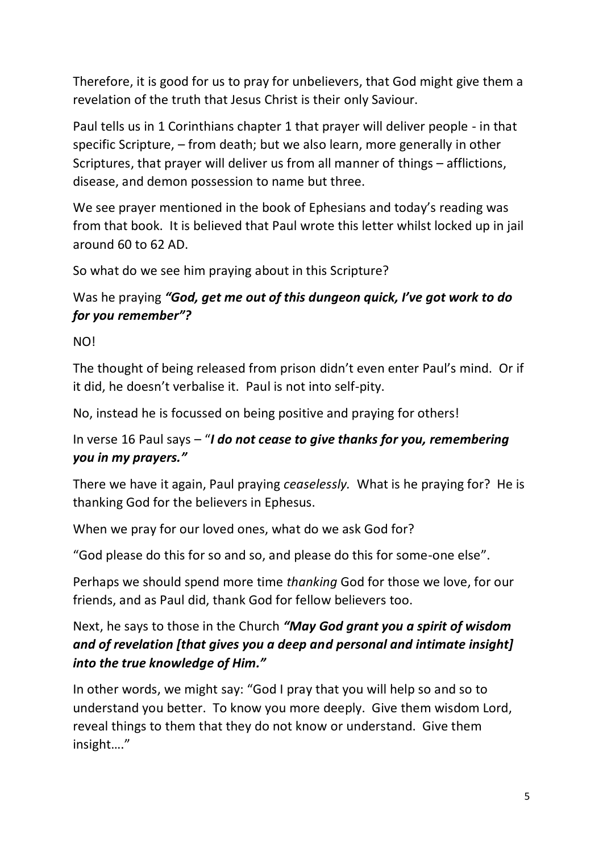Therefore, it is good for us to pray for unbelievers, that God might give them a revelation of the truth that Jesus Christ is their only Saviour.

Paul tells us in 1 Corinthians chapter 1 that prayer will deliver people - in that specific Scripture, – from death; but we also learn, more generally in other Scriptures, that prayer will deliver us from all manner of things – afflictions, disease, and demon possession to name but three.

We see prayer mentioned in the book of Ephesians and today's reading was from that book. It is believed that Paul wrote this letter whilst locked up in jail around 60 to 62 AD.

So what do we see him praying about in this Scripture?

# Was he praying *"God, get me out of this dungeon quick, I've got work to do for you remember"?*

NO!

The thought of being released from prison didn't even enter Paul's mind. Or if it did, he doesn't verbalise it. Paul is not into self-pity.

No, instead he is focussed on being positive and praying for others!

# In verse 16 Paul says – "*I do not cease to give thanks for you, remembering you in my prayers."*

There we have it again, Paul praying *ceaselessly.* What is he praying for? He is thanking God for the believers in Ephesus.

When we pray for our loved ones, what do we ask God for?

"God please do this for so and so, and please do this for some-one else".

Perhaps we should spend more time *thanking* God for those we love, for our friends, and as Paul did, thank God for fellow believers too.

# Next, he says to those in the Church *"May God grant you a spirit of wisdom and of revelation [that gives you a deep and personal and intimate insight] into the true knowledge of Him."*

In other words, we might say: "God I pray that you will help so and so to understand you better. To know you more deeply. Give them wisdom Lord, reveal things to them that they do not know or understand. Give them insight…."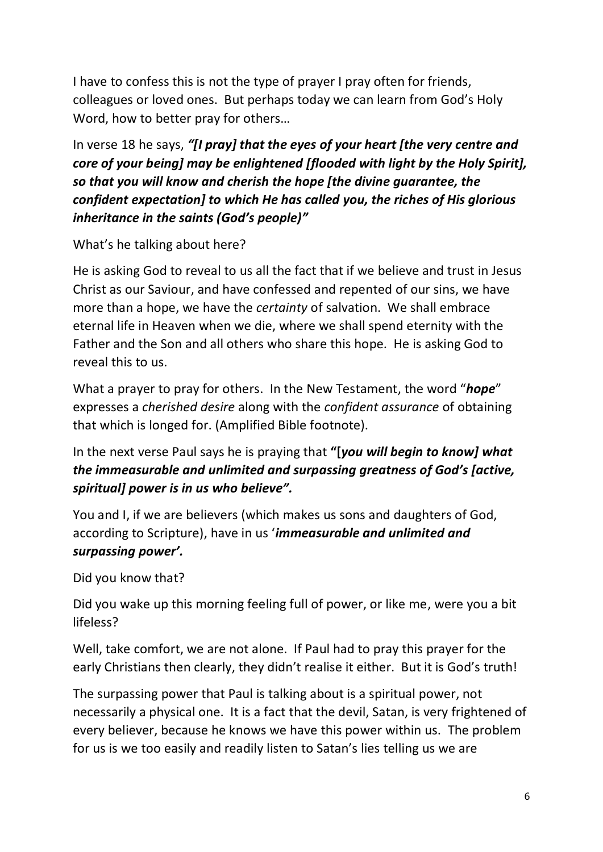I have to confess this is not the type of prayer I pray often for friends, colleagues or loved ones. But perhaps today we can learn from God's Holy Word, how to better pray for others…

In verse 18 he says, *"[I pray] that the eyes of your heart [the very centre and core of your being] may be enlightened [flooded with light by the Holy Spirit], so that you will know and cherish the hope [the divine guarantee, the confident expectation] to which He has called you, the riches of His glorious inheritance in the saints (God's people)"*

### What's he talking about here?

He is asking God to reveal to us all the fact that if we believe and trust in Jesus Christ as our Saviour, and have confessed and repented of our sins, we have more than a hope, we have the *certainty* of salvation. We shall embrace eternal life in Heaven when we die, where we shall spend eternity with the Father and the Son and all others who share this hope. He is asking God to reveal this to us.

What a prayer to pray for others. In the New Testament, the word "*hope*" expresses a *cherished desire* along with the *confident assurance* of obtaining that which is longed for. (Amplified Bible footnote).

In the next verse Paul says he is praying that **"[***you will begin to know] what the immeasurable and unlimited and surpassing greatness of God's [active, spiritual] power is in us who believe".*

You and I, if we are believers (which makes us sons and daughters of God, according to Scripture), have in us '*immeasurable and unlimited and surpassing power'.*

Did you know that?

Did you wake up this morning feeling full of power, or like me, were you a bit lifeless?

Well, take comfort, we are not alone. If Paul had to pray this prayer for the early Christians then clearly, they didn't realise it either. But it is God's truth!

The surpassing power that Paul is talking about is a spiritual power, not necessarily a physical one. It is a fact that the devil, Satan, is very frightened of every believer, because he knows we have this power within us. The problem for us is we too easily and readily listen to Satan's lies telling us we are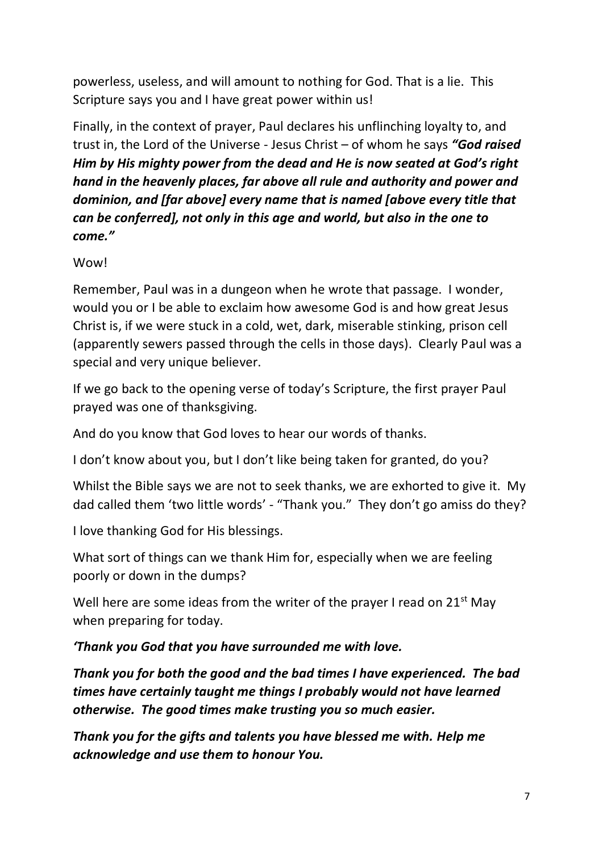powerless, useless, and will amount to nothing for God. That is a lie. This Scripture says you and I have great power within us!

Finally, in the context of prayer, Paul declares his unflinching loyalty to, and trust in, the Lord of the Universe - Jesus Christ – of whom he says *"God raised Him by His mighty power from the dead and He is now seated at God's right hand in the heavenly places, far above all rule and authority and power and dominion, and [far above] every name that is named [above every title that can be conferred], not only in this age and world, but also in the one to come."*

#### Wow!

Remember, Paul was in a dungeon when he wrote that passage. I wonder, would you or I be able to exclaim how awesome God is and how great Jesus Christ is, if we were stuck in a cold, wet, dark, miserable stinking, prison cell (apparently sewers passed through the cells in those days). Clearly Paul was a special and very unique believer.

If we go back to the opening verse of today's Scripture, the first prayer Paul prayed was one of thanksgiving.

And do you know that God loves to hear our words of thanks.

I don't know about you, but I don't like being taken for granted, do you?

Whilst the Bible says we are not to seek thanks, we are exhorted to give it. My dad called them 'two little words' - "Thank you." They don't go amiss do they?

I love thanking God for His blessings.

What sort of things can we thank Him for, especially when we are feeling poorly or down in the dumps?

Well here are some ideas from the writer of the prayer I read on  $21<sup>st</sup>$  May when preparing for today.

### *'Thank you God that you have surrounded me with love.*

*Thank you for both the good and the bad times I have experienced. The bad times have certainly taught me things I probably would not have learned otherwise. The good times make trusting you so much easier.*

*Thank you for the gifts and talents you have blessed me with. Help me acknowledge and use them to honour You.*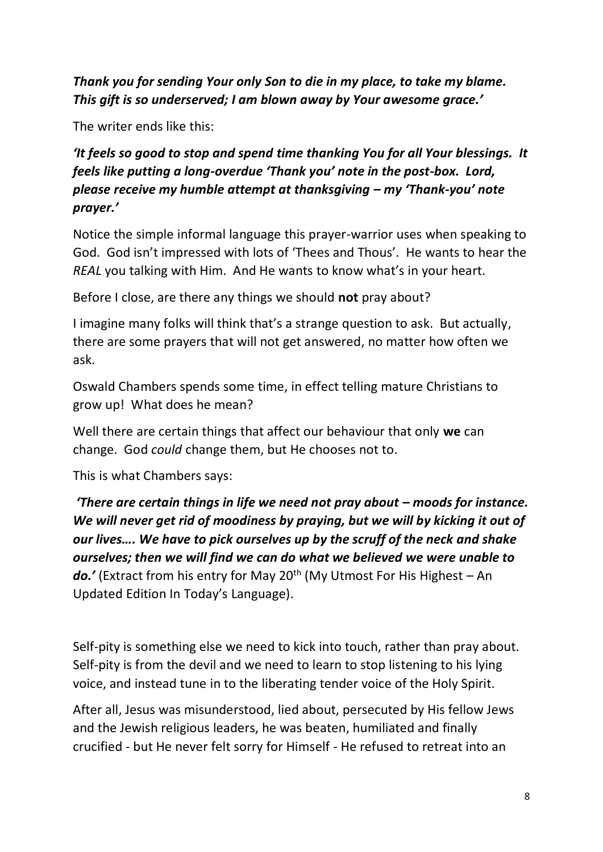*Thank you for sending Your only Son to die in my place, to take my blame. This gift is so underserved; I am blown away by Your awesome grace.'*

The writer ends like this:

*'It feels so good to stop and spend time thanking You for all Your blessings. It feels like putting a long-overdue 'Thank you' note in the post-box. Lord, please receive my humble attempt at thanksgiving – my 'Thank-you' note prayer.'*

Notice the simple informal language this prayer-warrior uses when speaking to God. God isn't impressed with lots of 'Thees and Thous'. He wants to hear the *REAL* you talking with Him. And He wants to know what's in your heart.

Before I close, are there any things we should **not** pray about?

I imagine many folks will think that's a strange question to ask. But actually, there are some prayers that will not get answered, no matter how often we ask.

Oswald Chambers spends some time, in effect telling mature Christians to grow up! What does he mean?

Well there are certain things that affect our behaviour that only **we** can change. God *could* change them, but He chooses not to.

This is what Chambers says:

*'There are certain things in life we need not pray about – moods for instance. We will never get rid of moodiness by praying, but we will by kicking it out of our lives…. We have to pick ourselves up by the scruff of the neck and shake ourselves; then we will find we can do what we believed we were unable to*  do.' (Extract from his entry for May 20<sup>th</sup> (My Utmost For His Highest – An Updated Edition In Today's Language).

Self-pity is something else we need to kick into touch, rather than pray about. Self-pity is from the devil and we need to learn to stop listening to his lying voice, and instead tune in to the liberating tender voice of the Holy Spirit.

After all, Jesus was misunderstood, lied about, persecuted by His fellow Jews and the Jewish religious leaders, he was beaten, humiliated and finally crucified - but He never felt sorry for Himself - He refused to retreat into an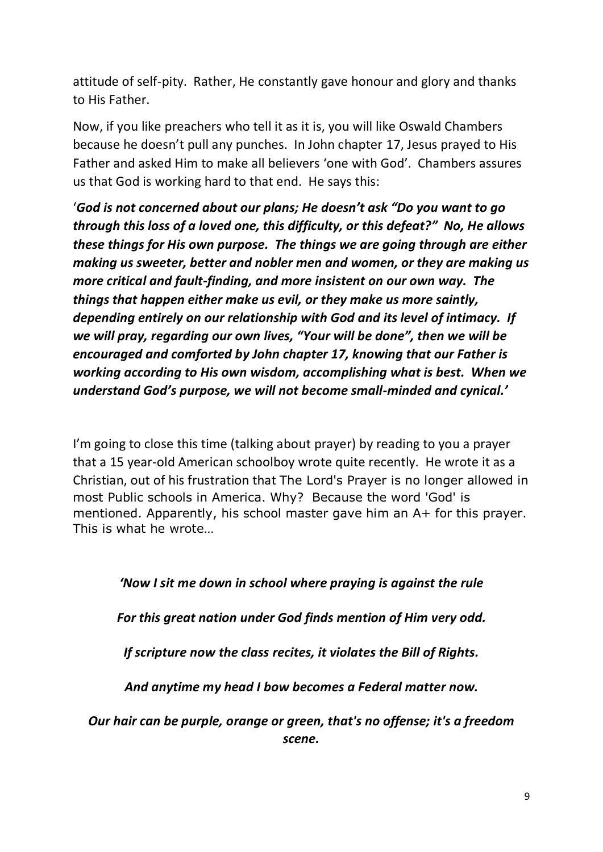attitude of self-pity. Rather, He constantly gave honour and glory and thanks to His Father.

Now, if you like preachers who tell it as it is, you will like Oswald Chambers because he doesn't pull any punches. In John chapter 17, Jesus prayed to His Father and asked Him to make all believers 'one with God'. Chambers assures us that God is working hard to that end. He says this:

'*God is not concerned about our plans; He doesn't ask "Do you want to go through this loss of a loved one, this difficulty, or this defeat?" No, He allows these things for His own purpose. The things we are going through are either making us sweeter, better and nobler men and women, or they are making us more critical and fault-finding, and more insistent on our own way. The things that happen either make us evil, or they make us more saintly, depending entirely on our relationship with God and its level of intimacy. If we will pray, regarding our own lives, "Your will be done", then we will be encouraged and comforted by John chapter 17, knowing that our Father is working according to His own wisdom, accomplishing what is best. When we understand God's purpose, we will not become small-minded and cynical.'*

I'm going to close this time (talking about prayer) by reading to you a prayer that a 15 year-old American schoolboy wrote quite recently. He wrote it as a Christian, out of his frustration that The Lord's Prayer is no longer allowed in most Public schools in America. Why? Because the word 'God' is mentioned. Apparently, his school master gave him an A+ for this prayer. This is what he wrote…

*'Now I sit me down in school where praying is against the rule*

*For this great nation under God finds mention of Him very odd.*

*If scripture now the class recites, it violates the Bill of Rights.*

*And anytime my head I bow becomes a Federal matter now.*

*Our hair can be purple, orange or green, that's no offense; it's a freedom scene.*